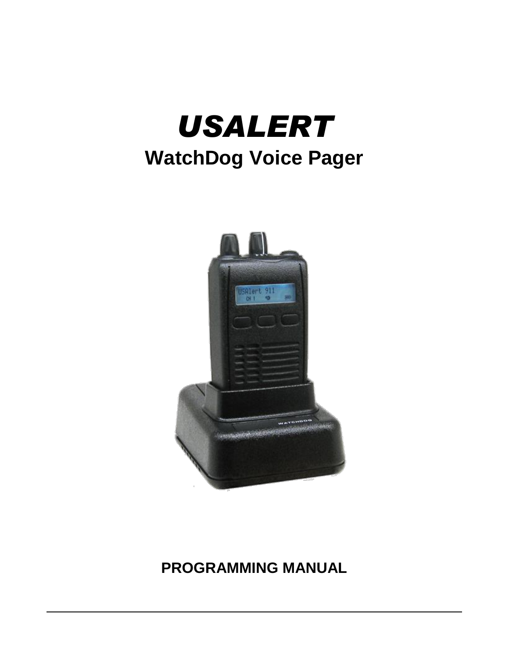



# **PROGRAMMING MANUAL**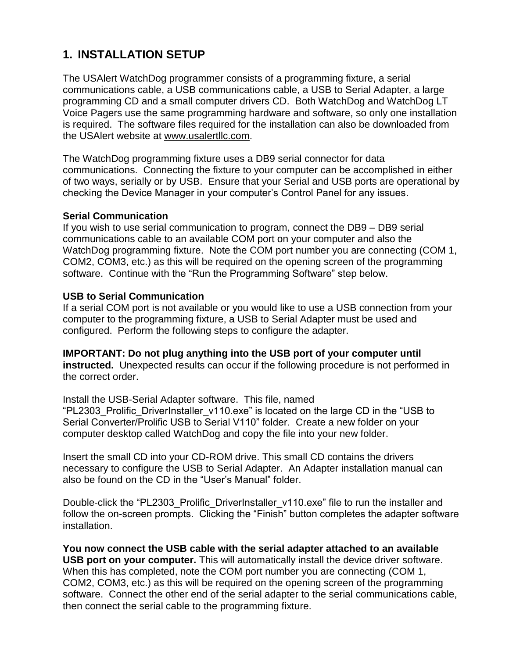### **1. INSTALLATION SETUP**

The USAlert WatchDog programmer consists of a programming fixture, a serial communications cable, a USB communications cable, a USB to Serial Adapter, a large programming CD and a small computer drivers CD. Both WatchDog and WatchDog LT Voice Pagers use the same programming hardware and software, so only one installation is required. The software files required for the installation can also be downloaded from the USAlert website at [www.usalertllc.com.](http://www.usalertllc.com/)

The WatchDog programming fixture uses a DB9 serial connector for data communications. Connecting the fixture to your computer can be accomplished in either of two ways, serially or by USB. Ensure that your Serial and USB ports are operational by checking the Device Manager in your computer's Control Panel for any issues.

### **Serial Communication**

If you wish to use serial communication to program, connect the DB9 – DB9 serial communications cable to an available COM port on your computer and also the WatchDog programming fixture. Note the COM port number you are connecting (COM 1, COM2, COM3, etc.) as this will be required on the opening screen of the programming software. Continue with the "Run the Programming Software" step below.

### **USB to Serial Communication**

If a serial COM port is not available or you would like to use a USB connection from your computer to the programming fixture, a USB to Serial Adapter must be used and configured. Perform the following steps to configure the adapter.

**IMPORTANT: Do not plug anything into the USB port of your computer until instructed.** Unexpected results can occur if the following procedure is not performed in the correct order.

Install the USB-Serial Adapter software. This file, named "PL2303\_Prolific\_DriverInstaller\_v110.exe" is located on the large CD in the "USB to Serial Converter/Prolific USB to Serial V110" folder. Create a new folder on your computer desktop called WatchDog and copy the file into your new folder.

Insert the small CD into your CD-ROM drive. This small CD contains the drivers necessary to configure the USB to Serial Adapter. An Adapter installation manual can also be found on the CD in the "User's Manual" folder.

Double-click the "PL2303\_Prolific\_DriverInstaller\_v110.exe" file to run the installer and follow the on-screen prompts. Clicking the "Finish" button completes the adapter software installation.

**You now connect the USB cable with the serial adapter attached to an available USB port on your computer.** This will automatically install the device driver software. When this has completed, note the COM port number you are connecting (COM 1, COM2, COM3, etc.) as this will be required on the opening screen of the programming software. Connect the other end of the serial adapter to the serial communications cable, then connect the serial cable to the programming fixture.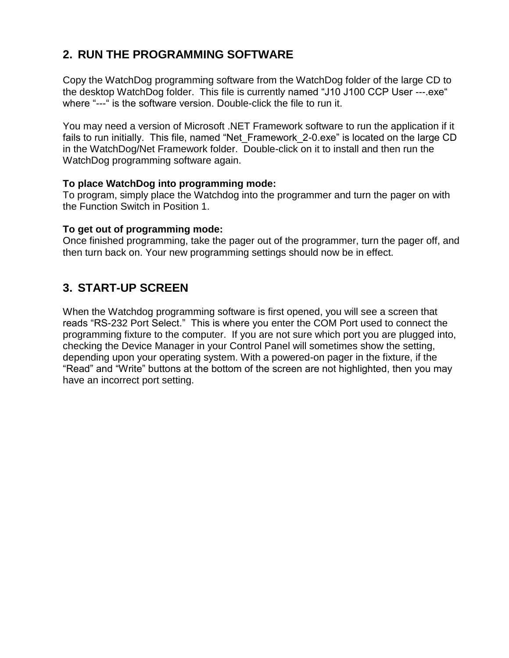# **2. RUN THE PROGRAMMING SOFTWARE**

Copy the WatchDog programming software from the WatchDog folder of the large CD to the desktop WatchDog folder. This file is currently named "J10 J100 CCP User ---.exe" where "---" is the software version. Double-click the file to run it.

You may need a version of Microsoft .NET Framework software to run the application if it fails to run initially. This file, named "Net Framework 2-0.exe" is located on the large CD in the WatchDog/Net Framework folder. Double-click on it to install and then run the WatchDog programming software again.

### **To place WatchDog into programming mode:**

To program, simply place the Watchdog into the programmer and turn the pager on with the Function Switch in Position 1.

### **To get out of programming mode:**

Once finished programming, take the pager out of the programmer, turn the pager off, and then turn back on. Your new programming settings should now be in effect.

### **3. START-UP SCREEN**

When the Watchdog programming software is first opened, you will see a screen that reads "RS-232 Port Select." This is where you enter the COM Port used to connect the programming fixture to the computer. If you are not sure which port you are plugged into, checking the Device Manager in your Control Panel will sometimes show the setting, depending upon your operating system. With a powered-on pager in the fixture, if the "Read" and "Write" buttons at the bottom of the screen are not highlighted, then you may have an incorrect port setting.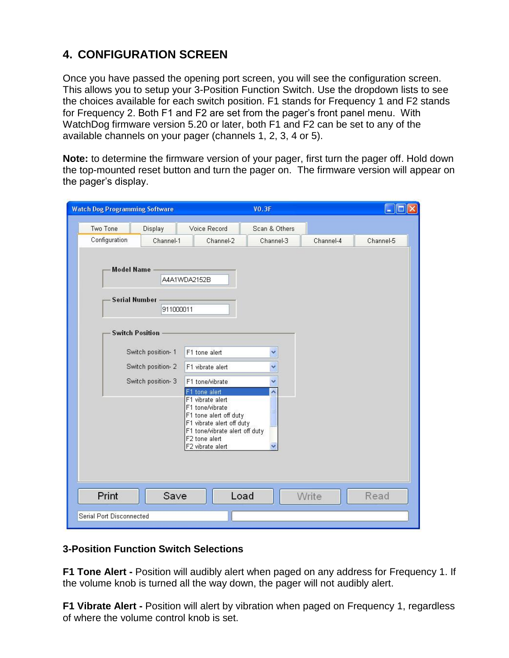# **4. CONFIGURATION SCREEN**

Once you have passed the opening port screen, you will see the configuration screen. This allows you to setup your 3-Position Function Switch. Use the dropdown lists to see the choices available for each switch position. F1 stands for Frequency 1 and F2 stands for Frequency 2. Both F1 and F2 are set from the pager's front panel menu. With WatchDog firmware version 5.20 or later, both F1 and F2 can be set to any of the available channels on your pager (channels 1, 2, 3, 4 or 5).

**Note:** to determine the firmware version of your pager, first turn the pager off. Hold down the top-mounted reset button and turn the pager on. The firmware version will appear on the pager's display.

| <b>Watch Dog Programming Software</b>                                                                 | <b>VO.3F</b>                                                                                                                                                                                                               |           | $\Box$    |
|-------------------------------------------------------------------------------------------------------|----------------------------------------------------------------------------------------------------------------------------------------------------------------------------------------------------------------------------|-----------|-----------|
| Two Tone<br>Display                                                                                   | Voice Record<br>Scan & Others                                                                                                                                                                                              |           |           |
| Configuration<br>Channel-1                                                                            | Channel-2<br>Channel-3                                                                                                                                                                                                     | Channel-4 | Channel-5 |
| <b>Model Name</b><br><b>Serial Number</b><br>911000011<br><b>Switch Position</b><br>Switch position-1 | A4A1WDA2152B<br>F1 tone alert<br>v                                                                                                                                                                                         |           |           |
| Switch position-2                                                                                     | F1 vibrate alert                                                                                                                                                                                                           |           |           |
| Switch position-3                                                                                     | F1 tone/vibrate<br>Ÿ                                                                                                                                                                                                       |           |           |
|                                                                                                       | F1 tone alert<br>$\overline{\phantom{a}}$<br>F1 vibrate alert<br>F1 tone/vibrate<br>F1 tone alert off duty<br>F1 vibrate alert off duty<br>F1 tone/vibrate alert off duty<br>F <sub>2</sub> tone alert<br>F2 vibrate alert |           |           |
| Print<br>Save<br>Serial Port Disconnected                                                             | Load                                                                                                                                                                                                                       | Write     | Read      |
|                                                                                                       |                                                                                                                                                                                                                            |           |           |

#### **3-Position Function Switch Selections**

**F1 Tone Alert -** Position will audibly alert when paged on any address for Frequency 1. If the volume knob is turned all the way down, the pager will not audibly alert.

**F1 Vibrate Alert -** Position will alert by vibration when paged on Frequency 1, regardless of where the volume control knob is set.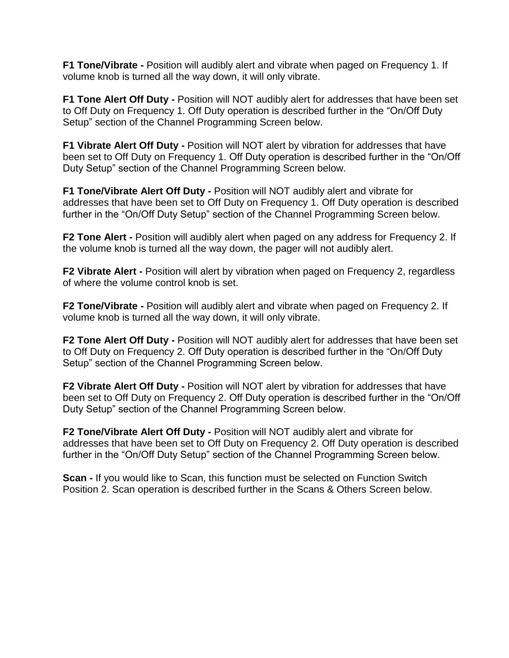**F1 Tone/Vibrate -** Position will audibly alert and vibrate when paged on Frequency 1. If volume knob is turned all the way down, it will only vibrate.

**F1 Tone Alert Off Duty -** Position will NOT audibly alert for addresses that have been set to Off Duty on Frequency 1. Off Duty operation is described further in the "On/Off Duty Setup" section of the Channel Programming Screen below.

**F1 Vibrate Alert Off Duty -** Position will NOT alert by vibration for addresses that have been set to Off Duty on Frequency 1. Off Duty operation is described further in the "On/Off Duty Setup" section of the Channel Programming Screen below.

**F1 Tone/Vibrate Alert Off Duty -** Position will NOT audibly alert and vibrate for addresses that have been set to Off Duty on Frequency 1. Off Duty operation is described further in the "On/Off Duty Setup" section of the Channel Programming Screen below.

**F2 Tone Alert -** Position will audibly alert when paged on any address for Frequency 2. If the volume knob is turned all the way down, the pager will not audibly alert.

**F2 Vibrate Alert** - Position will alert by vibration when paged on Frequency 2, regardless of where the volume control knob is set.

**F2 Tone/Vibrate -** Position will audibly alert and vibrate when paged on Frequency 2. If volume knob is turned all the way down, it will only vibrate.

**F2 Tone Alert Off Duty -** Position will NOT audibly alert for addresses that have been set to Off Duty on Frequency 2. Off Duty operation is described further in the "On/Off Duty Setup" section of the Channel Programming Screen below.

**F2 Vibrate Alert Off Duty -** Position will NOT alert by vibration for addresses that have been set to Off Duty on Frequency 2. Off Duty operation is described further in the "On/Off Duty Setup" section of the Channel Programming Screen below.

**F2 Tone/Vibrate Alert Off Duty -** Position will NOT audibly alert and vibrate for addresses that have been set to Off Duty on Frequency 2. Off Duty operation is described further in the "On/Off Duty Setup" section of the Channel Programming Screen below.

**Scan -** If you would like to Scan, this function must be selected on Function Switch Position 2. Scan operation is described further in the Scans & Others Screen below.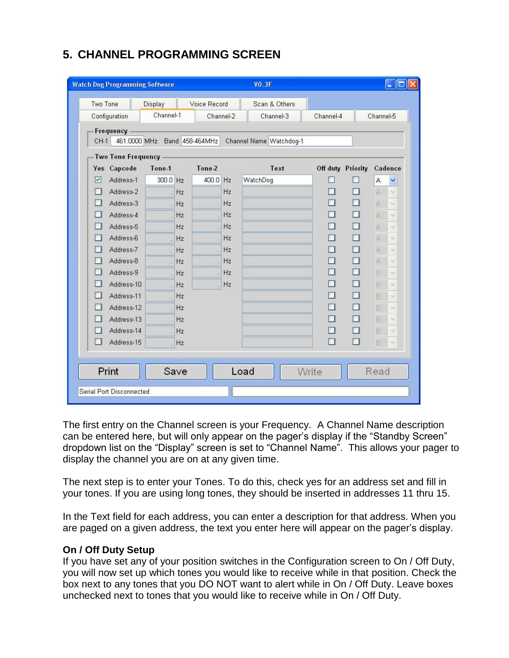# **5. CHANNEL PROGRAMMING SCREEN**

| Two Tone                  | Display                      | Voice Record |           | Scan & Others           |                   |        |                |                      |
|---------------------------|------------------------------|--------------|-----------|-------------------------|-------------------|--------|----------------|----------------------|
| Configuration             | Channel-1                    |              | Channel-2 | Channel-3               | Channel-4         |        | Channel-5      |                      |
| Frequency<br>$CH-1$       | 461.0000 MHz Band 458-464MHz |              |           | Channel Name Watchdog-1 |                   |        |                |                      |
| <b>Two Tone Frequency</b> |                              |              |           |                         |                   |        |                |                      |
| Yes Capcode               | Tone-1                       | Tone-2       |           | Text                    | Off duty Priority |        | Cadence        |                      |
| ☑<br>Address-1            | 300.0 Hz                     | 400.0 Hz     |           | WatchDog                |                   |        | A              | ₩                    |
| Address-2                 | Hz                           |              | Hz        |                         |                   | П      | A              | v                    |
| Address-3                 | Hz<br>l.                     | à.           | Hz        |                         |                   | П      | A              | ü                    |
| Address-4                 | Hz                           |              | Hz.       |                         |                   | П      | A              | $\sim$               |
| Address-5                 | Hz                           |              | Hz        |                         |                   | $\Box$ | $\mathbb{A}$   | ü                    |
| Address-6                 | Hz<br>į,                     |              | Hz.       |                         |                   | П      | A              | ŵ                    |
| Address-7                 | Hz<br>í.                     | s.           | Hz        |                         |                   | П      | A              | $\omega$             |
| Address-8                 | Hz                           |              | Hz        |                         |                   | $\Box$ | A              | $\omega$             |
| Address-9                 | Hz<br>l.                     | s.           | Hz        |                         |                   | □      | U              | v                    |
| Address-10                | Hz<br>l.                     | s I          | Hz.       |                         |                   | □      | B              | U.                   |
| Address-11                | Hz<br>i,                     |              |           |                         |                   | □      | B              | v                    |
| Address-12                | Hz<br>l.                     |              |           |                         |                   | □      | $\overline{B}$ | v                    |
| Address-13                | Hz                           |              |           |                         |                   | П      | B              | $\ddot{\phantom{0}}$ |
| Address-14                | Hz<br>$\ddot{\phantom{a}}$   |              |           |                         |                   | □      | B              | $\omega$             |
| Address-15                | Hz                           |              |           |                         | П                 | $\Box$ | $\boxminus$    | $\omega$             |
|                           |                              |              |           |                         |                   |        |                |                      |
| Print                     | Save                         |              |           | Load                    | Write             |        | Read           |                      |

The first entry on the Channel screen is your Frequency. A Channel Name description can be entered here, but will only appear on the pager's display if the "Standby Screen" dropdown list on the "Display" screen is set to "Channel Name". This allows your pager to display the channel you are on at any given time.

The next step is to enter your Tones. To do this, check yes for an address set and fill in your tones. If you are using long tones, they should be inserted in addresses 11 thru 15.

In the Text field for each address, you can enter a description for that address. When you are paged on a given address, the text you enter here will appear on the pager's display.

### **On / Off Duty Setup**

If you have set any of your position switches in the Configuration screen to On / Off Duty, you will now set up which tones you would like to receive while in that position. Check the box next to any tones that you DO NOT want to alert while in On / Off Duty. Leave boxes unchecked next to tones that you would like to receive while in On / Off Duty.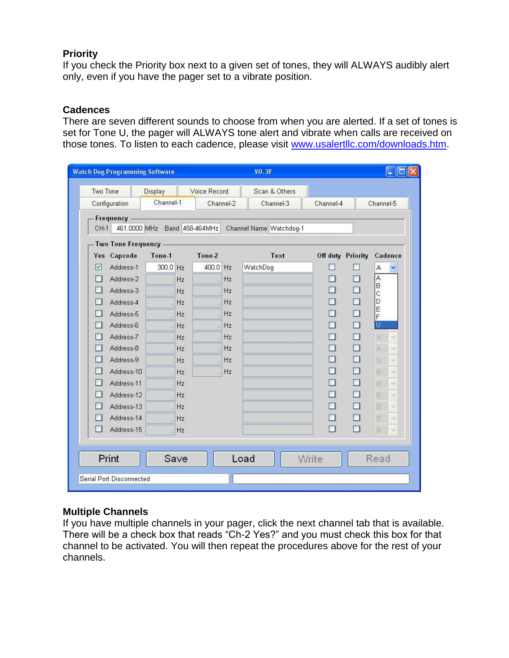#### **Priority**

If you check the Priority box next to a given set of tones, they will ALWAYS audibly alert only, even if you have the pager set to a vibrate position.

#### **Cadences**

There are seven different sounds to choose from when you are alerted. If a set of tones is set for Tone U, the pager will ALWAYS tone alert and vibrate when calls are received on those tones. To listen to each cadence, please visit [www.usalertllc.com/downloads.htm.](http://www.usalertllc.com/downloads.htm)

|          | <b>Watch Dog Programming Software</b> |                              |              |           | <b>VO.3F</b>            |           |                   | B                               |
|----------|---------------------------------------|------------------------------|--------------|-----------|-------------------------|-----------|-------------------|---------------------------------|
| Two Tone |                                       | Display                      | Voice Record |           | Scan & Others           |           |                   |                                 |
|          | Configuration                         | Channel-1                    |              | Channel-2 | Channel-3               | Channel-4 |                   | Channel-5                       |
| $CH-1$   | Frequency                             | 461.0000 MHz Band 458-464MHz |              |           | Channel Name Watchdog-1 |           |                   |                                 |
|          | <b>Two Tone Frequency</b>             |                              |              |           |                         |           |                   |                                 |
| Yes      | Capcode                               | Tone-1                       | Tone-2       |           | Text                    |           | Off duty Priority | Cadence                         |
| ☑        | Address-1                             | 300.0 Hz                     | 400.0        | Hz        | WatchDog                |           |                   | A<br>₩                          |
|          | Address-2                             | Hz                           |              | Hz        |                         | ш         | ш                 | Ā                               |
|          | Address-3                             | Hz                           |              | Hz        |                         | $\Box$    | $\Box$            | B<br>Ċ                          |
|          | Address-4                             | Hz                           |              | Hz        |                         | П         | □                 | D                               |
|          | Address-5                             | Hz                           |              | Hz        |                         | П         | $\Box$            | E<br>F                          |
|          | Address-6                             | Hz<br>۰                      |              | Hz        |                         | $\Box$    | $\Box$            | Ū                               |
|          | Address-7                             | Hz                           |              | Hz        |                         | П         | П                 | $\mathbb{A}$<br>÷               |
|          | Address-8                             | Hz                           |              | Hz        |                         | □         | □                 | $\mathbb{A}^{\prime}$<br>$\sim$ |
|          | Address-9                             | Hz                           |              | Hz        |                         | П         | □                 | U<br>V.                         |
|          | Address-10                            | Hz                           |              | Hz        |                         | п         | П                 | $\overline{\mathbf{B}}$<br>X.   |
|          | Address-11                            | Hz                           |              |           |                         | □         | □                 | $\boxdot$<br>$\sim$             |
|          | Address-12                            | Hz                           |              |           |                         | $\Box$    | □                 | $\overline{\mathbf{B}}$<br>V.   |
|          | Address-13                            | Hz<br>a.                     |              |           |                         | □         | □                 | B<br>$\sim$                     |
|          | Address-14                            | Hz                           |              |           |                         | $\Box$    | П                 | B<br>$\sim$                     |
| $\Box$   | Address-15                            | Hz                           |              |           |                         | $\Box$    | п                 | B)<br>$\sim$                    |
|          |                                       |                              |              |           |                         |           |                   |                                 |
|          | Print                                 | Save                         |              |           | Load                    | Write     |                   | Read                            |
|          | Serial Port Disconnected              |                              |              |           |                         |           |                   |                                 |

#### **Multiple Channels**

If you have multiple channels in your pager, click the next channel tab that is available. There will be a check box that reads "Ch-2 Yes?" and you must check this box for that channel to be activated. You will then repeat the procedures above for the rest of your channels.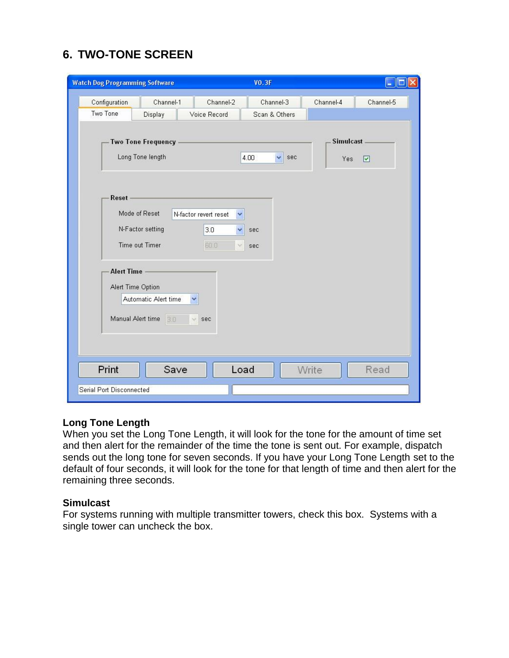# **6. TWO-TONE SCREEN**

|                                                                      | <b>Watch Dog Programming Software</b>                                              |                                                                             | VO.3F                      |           | EIO                          |
|----------------------------------------------------------------------|------------------------------------------------------------------------------------|-----------------------------------------------------------------------------|----------------------------|-----------|------------------------------|
| Configuration<br>Two Tone                                            | Channel-1<br>Display                                                               | Channel-2<br>Voice Record                                                   | Channel-3<br>Scan & Others | Channel-4 | Channel-5                    |
|                                                                      | <b>Two Tone Frequency</b><br>Long Tone length                                      |                                                                             | $\checkmark$<br>4.00       | sec       | <b>Simulcast</b><br>Yes<br>☑ |
| Reset<br><b>Alert Time</b><br>Alert Time Option<br>Manual Alert time | Mode of Reset<br>N-Factor setting<br>Time out Timer<br>Automatic Alert time<br>3.0 | N-factor revert reset<br>×<br>3.0<br>v<br>60.0<br>$\vee$<br>v<br>si.<br>sec | sec<br>sec                 |           |                              |
| Print                                                                | Save                                                                               | Load                                                                        |                            | Write     | Read                         |

### **Long Tone Length**

When you set the Long Tone Length, it will look for the tone for the amount of time set and then alert for the remainder of the time the tone is sent out. For example, dispatch sends out the long tone for seven seconds. If you have your Long Tone Length set to the default of four seconds, it will look for the tone for that length of time and then alert for the remaining three seconds.

#### **Simulcast**

For systems running with multiple transmitter towers, check this box. Systems with a single tower can uncheck the box.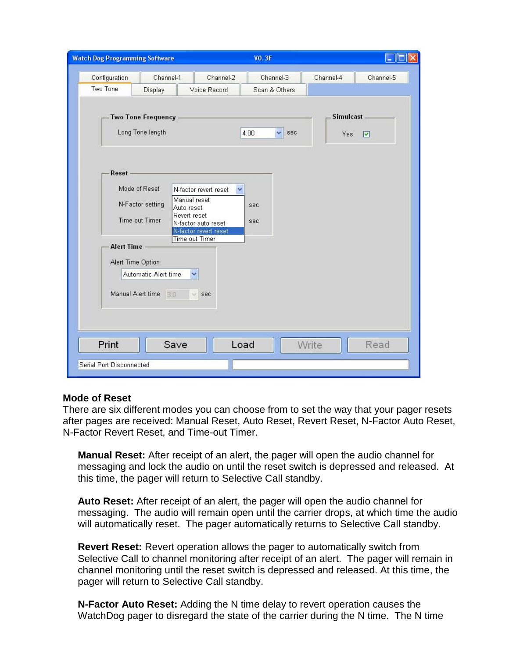|                            | <b>Watch Dog Programming Software</b>                                                                                                                                                                                                                                                                                                    | <b>VO.3F</b>              |                            |                         | le.       |
|----------------------------|------------------------------------------------------------------------------------------------------------------------------------------------------------------------------------------------------------------------------------------------------------------------------------------------------------------------------------------|---------------------------|----------------------------|-------------------------|-----------|
| Configuration<br>Two Tone  | Channel-1<br>Display                                                                                                                                                                                                                                                                                                                     | Channel-2<br>Voice Record | Channel-3<br>Scan & Others | Channel-4               | Channel-5 |
| Reset<br><b>Alert Time</b> | <b>Two Tone Frequency</b><br>Long Tone length<br>Mode of Reset<br>N-factor revert reset<br>Manual reset<br>N-Factor setting<br>Auto reset<br>Revert reset<br>Time out Timer<br>N-factor auto reset<br>N-factor revert reset<br><b>Time out Timer</b><br>Alert Time Option<br>Automatic Alert time<br>Ÿ<br>Manual Alert time<br>3.0<br>v. | 4.00<br>sec<br>sec<br>sec | $\checkmark$<br>sec        | <b>Simulcast</b><br>Yes | ☑         |
| Print                      | Save                                                                                                                                                                                                                                                                                                                                     | Load                      | Write                      |                         | Read      |

#### **Mode of Reset**

There are six different modes you can choose from to set the way that your pager resets after pages are received: Manual Reset, Auto Reset, Revert Reset, N-Factor Auto Reset, N-Factor Revert Reset, and Time-out Timer.

**Manual Reset:** After receipt of an alert, the pager will open the audio channel for messaging and lock the audio on until the reset switch is depressed and released. At this time, the pager will return to Selective Call standby.

**Auto Reset:** After receipt of an alert, the pager will open the audio channel for messaging. The audio will remain open until the carrier drops, at which time the audio will automatically reset. The pager automatically returns to Selective Call standby.

**Revert Reset:** Revert operation allows the pager to automatically switch from Selective Call to channel monitoring after receipt of an alert. The pager will remain in channel monitoring until the reset switch is depressed and released. At this time, the pager will return to Selective Call standby.

**N-Factor Auto Reset:** Adding the N time delay to revert operation causes the WatchDog pager to disregard the state of the carrier during the N time. The N time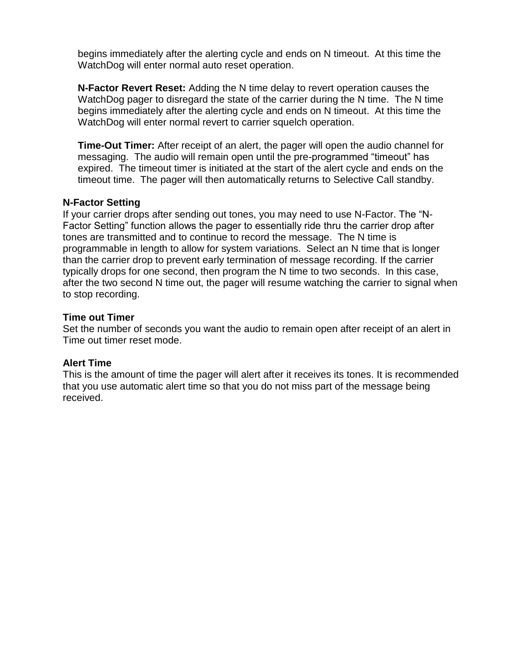begins immediately after the alerting cycle and ends on N timeout. At this time the WatchDog will enter normal auto reset operation.

**N-Factor Revert Reset:** Adding the N time delay to revert operation causes the WatchDog pager to disregard the state of the carrier during the N time. The N time begins immediately after the alerting cycle and ends on N timeout. At this time the WatchDog will enter normal revert to carrier squelch operation.

**Time-Out Timer:** After receipt of an alert, the pager will open the audio channel for messaging. The audio will remain open until the pre-programmed "timeout" has expired. The timeout timer is initiated at the start of the alert cycle and ends on the timeout time. The pager will then automatically returns to Selective Call standby.

#### **N-Factor Setting**

If your carrier drops after sending out tones, you may need to use N-Factor. The "N-Factor Setting" function allows the pager to essentially ride thru the carrier drop after tones are transmitted and to continue to record the message. The N time is programmable in length to allow for system variations. Select an N time that is longer than the carrier drop to prevent early termination of message recording. If the carrier typically drops for one second, then program the N time to two seconds. In this case, after the two second N time out, the pager will resume watching the carrier to signal when to stop recording.

#### **Time out Timer**

Set the number of seconds you want the audio to remain open after receipt of an alert in Time out timer reset mode.

#### **Alert Time**

This is the amount of time the pager will alert after it receives its tones. It is recommended that you use automatic alert time so that you do not miss part of the message being received.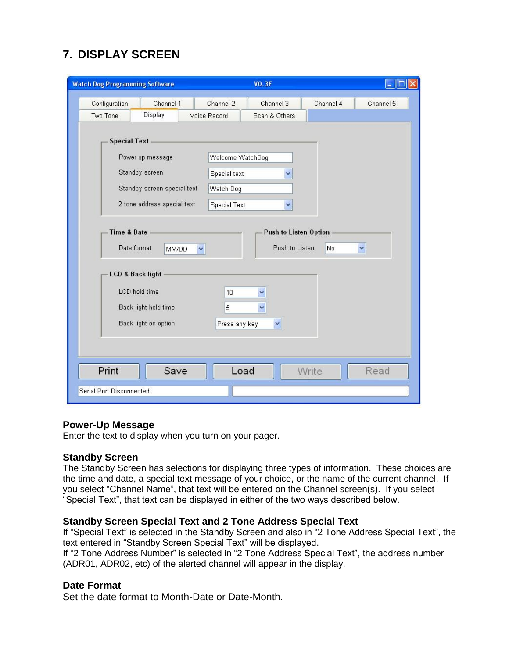# **7. DISPLAY SCREEN**

| <b>Watch Dog Programming Software</b>                                                    | <b>VO.3F</b>                                       |
|------------------------------------------------------------------------------------------|----------------------------------------------------|
| Configuration<br>Channel-1                                                               | Channel-2<br>Channel-3<br>Channel-4<br>Channel-5   |
| Display<br>Two Tone                                                                      | Voice Record<br>Scan & Others                      |
| <b>Special Text</b><br>Power up message<br>Standby screen<br>Standby screen special text | Welcome WatchDog<br>Special text<br>v<br>Watch Dog |
| 2 tone address special text                                                              | <b>Special Text</b><br>$\ddotmark$                 |
| <b>LCD &amp; Back light</b>                                                              |                                                    |
| LCD hold time                                                                            | 10                                                 |
| Back light hold time                                                                     | 5                                                  |
| Back light on option                                                                     | Press any key<br>$\checkmark$                      |
|                                                                                          |                                                    |
|                                                                                          |                                                    |
|                                                                                          |                                                    |
| Print<br>Save                                                                            | Load<br>Write<br>Read                              |

#### **Power-Up Message**

Enter the text to display when you turn on your pager.

#### **Standby Screen**

The Standby Screen has selections for displaying three types of information. These choices are the time and date, a special text message of your choice, or the name of the current channel. If you select "Channel Name", that text will be entered on the Channel screen(s). If you select "Special Text", that text can be displayed in either of the two ways described below.

#### **Standby Screen Special Text and 2 Tone Address Special Text**

If "Special Text" is selected in the Standby Screen and also in "2 Tone Address Special Text", the text entered in "Standby Screen Special Text" will be displayed.

If "2 Tone Address Number" is selected in "2 Tone Address Special Text", the address number (ADR01, ADR02, etc) of the alerted channel will appear in the display.

#### **Date Format**

Set the date format to Month-Date or Date-Month.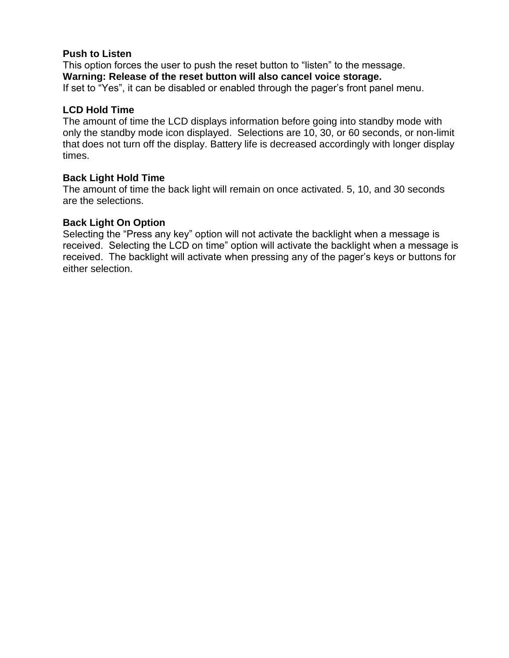#### **Push to Listen**

This option forces the user to push the reset button to "listen" to the message. **Warning: Release of the reset button will also cancel voice storage.**  If set to "Yes", it can be disabled or enabled through the pager's front panel menu.

#### **LCD Hold Time**

The amount of time the LCD displays information before going into standby mode with only the standby mode icon displayed. Selections are 10, 30, or 60 seconds, or non-limit that does not turn off the display. Battery life is decreased accordingly with longer display times.

#### **Back Light Hold Time**

The amount of time the back light will remain on once activated. 5, 10, and 30 seconds are the selections.

#### **Back Light On Option**

Selecting the "Press any key" option will not activate the backlight when a message is received. Selecting the LCD on time" option will activate the backlight when a message is received. The backlight will activate when pressing any of the pager's keys or buttons for either selection.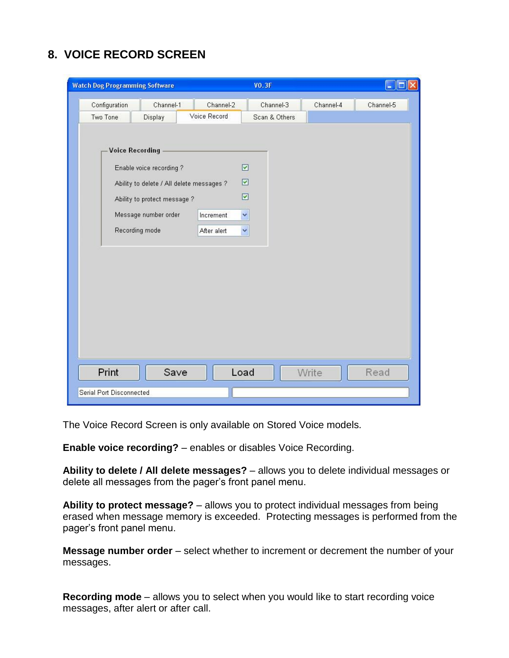### **8. VOICE RECORD SCREEN**

| <b>Watch Dog Programming Software</b>                                                                                                                                    |                           | <b>VO.3F</b>                                        |           | l.        |
|--------------------------------------------------------------------------------------------------------------------------------------------------------------------------|---------------------------|-----------------------------------------------------|-----------|-----------|
| Configuration<br>Channel-1<br>Two Tone<br>Display                                                                                                                        | Channel-2<br>Voice Record | Channel-3<br>Scan & Others                          | Channel-4 | Channel-5 |
| <b>Voice Recording</b><br>Enable voice recording?<br>Ability to delete / All delete messages ?<br>Ability to protect message ?<br>Message number order<br>Recording mode | Increment<br>After alert  | $\boxed{\mathbf{v}}$<br>☑<br>☑<br>$\checkmark$<br>v |           |           |
| Print<br>Save<br>Serial Port Disconnected                                                                                                                                |                           | Load                                                | Write     | Read      |

The Voice Record Screen is only available on Stored Voice models.

**Enable voice recording?** – enables or disables Voice Recording.

**Ability to delete / All delete messages?** – allows you to delete individual messages or delete all messages from the pager's front panel menu.

**Ability to protect message?** – allows you to protect individual messages from being erased when message memory is exceeded. Protecting messages is performed from the pager's front panel menu.

**Message number order** – select whether to increment or decrement the number of your messages.

**Recording mode** – allows you to select when you would like to start recording voice messages, after alert or after call.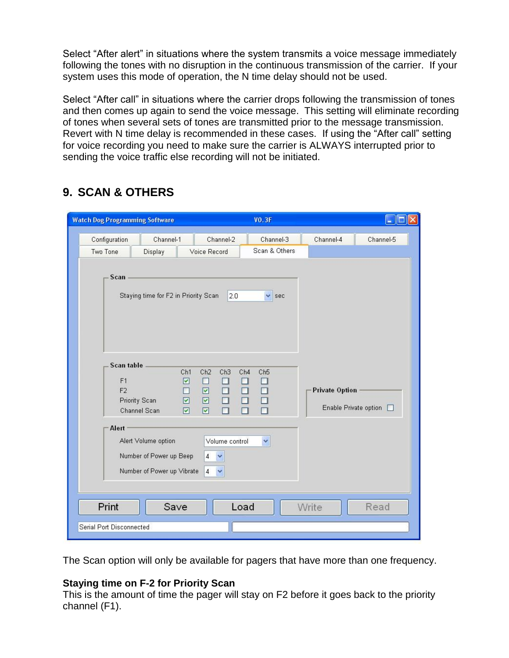Select "After alert" in situations where the system transmits a voice message immediately following the tones with no disruption in the continuous transmission of the carrier. If your system uses this mode of operation, the N time delay should not be used.

Select "After call" in situations where the carrier drops following the transmission of tones and then comes up again to send the voice message. This setting will eliminate recording of tones when several sets of tones are transmitted prior to the message transmission. Revert with N time delay is recommended in these cases. If using the "After call" setting for voice recording you need to make sure the carrier is ALWAYS interrupted prior to sending the voice traffic else recording will not be initiated.

| <b>Watch Dog Programming Software</b>                                                                                                                                                                                                                |                                                                                                                                                                                                                                    | <b>VO.3F</b>                                                |                                                       |           |
|------------------------------------------------------------------------------------------------------------------------------------------------------------------------------------------------------------------------------------------------------|------------------------------------------------------------------------------------------------------------------------------------------------------------------------------------------------------------------------------------|-------------------------------------------------------------|-------------------------------------------------------|-----------|
| Configuration<br>Channel-1                                                                                                                                                                                                                           | Channel-2                                                                                                                                                                                                                          | Channel-3                                                   | Channel-4                                             | Channel-5 |
| Display<br>Two Tone                                                                                                                                                                                                                                  | Voice Record                                                                                                                                                                                                                       | Scan & Others                                               |                                                       |           |
| Scan<br>Staying time for F2 in Priority Scan<br>Scan table<br>Ch1<br>$\boxed{\textcolor{blue}{\blacktriangledown}}$<br>F1<br>$\Box$<br>F <sub>2</sub><br>$\boxed{\textcolor{blue}{\blacktriangledown}}$<br><b>Priority Scan</b><br>Channel Scan<br>☑ | 2.0<br>Ch2<br>Ch <sub>3</sub><br>Ch4<br>□<br>$\Box$<br>$\Box$<br>$\Box$<br>$\boxed{\textcolor{blue}{\boldsymbol{\mathsf{M}}}}$<br>$\Box$<br>$\Box$<br>$\Box$<br>$\boxed{\textcolor{blue}{\blacktriangledown}}$<br>☑<br>$\Box$<br>П | $\vee$ sec<br>Ch <sub>5</sub><br>$\Box$<br>$\Box$<br>$\Box$ | <b>Private Option</b><br>Enable Private option $\Box$ |           |
| Alert<br>Alert Volume option                                                                                                                                                                                                                         | Volume control                                                                                                                                                                                                                     | $\checkmark$                                                |                                                       |           |
| Number of Power up Beep<br>Number of Power up Vibrate                                                                                                                                                                                                | $\overline{4}$<br>$\checkmark$<br>$\overline{4}$<br>×                                                                                                                                                                              |                                                             |                                                       |           |
| Print<br>Save                                                                                                                                                                                                                                        | Load                                                                                                                                                                                                                               |                                                             | Write                                                 | Read      |
|                                                                                                                                                                                                                                                      |                                                                                                                                                                                                                                    |                                                             |                                                       |           |
| Serial Port Disconnected                                                                                                                                                                                                                             |                                                                                                                                                                                                                                    |                                                             |                                                       |           |

# **9. SCAN & OTHERS**

The Scan option will only be available for pagers that have more than one frequency.

#### **Staying time on F-2 for Priority Scan**

This is the amount of time the pager will stay on F2 before it goes back to the priority channel (F1).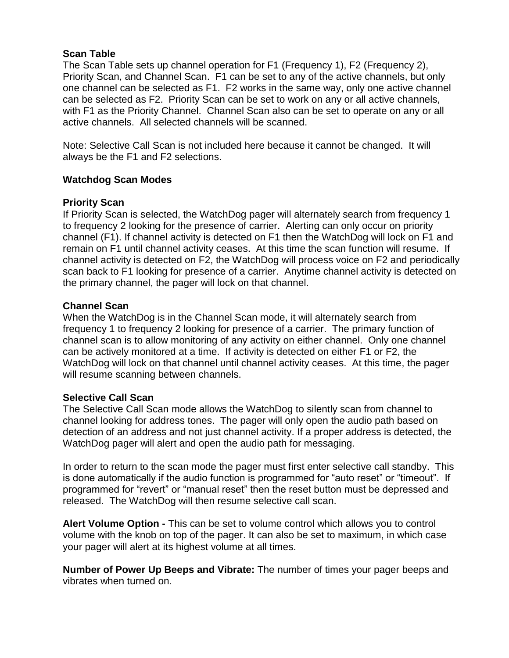#### **Scan Table**

The Scan Table sets up channel operation for F1 (Frequency 1), F2 (Frequency 2), Priority Scan, and Channel Scan. F1 can be set to any of the active channels, but only one channel can be selected as F1. F2 works in the same way, only one active channel can be selected as F2. Priority Scan can be set to work on any or all active channels, with F1 as the Priority Channel. Channel Scan also can be set to operate on any or all active channels. All selected channels will be scanned.

Note: Selective Call Scan is not included here because it cannot be changed. It will always be the F1 and F2 selections.

### **Watchdog Scan Modes**

### **Priority Scan**

If Priority Scan is selected, the WatchDog pager will alternately search from frequency 1 to frequency 2 looking for the presence of carrier. Alerting can only occur on priority channel (F1). If channel activity is detected on F1 then the WatchDog will lock on F1 and remain on F1 until channel activity ceases. At this time the scan function will resume. If channel activity is detected on F2, the WatchDog will process voice on F2 and periodically scan back to F1 looking for presence of a carrier. Anytime channel activity is detected on the primary channel, the pager will lock on that channel.

#### **Channel Scan**

When the WatchDog is in the Channel Scan mode, it will alternately search from frequency 1 to frequency 2 looking for presence of a carrier. The primary function of channel scan is to allow monitoring of any activity on either channel. Only one channel can be actively monitored at a time. If activity is detected on either F1 or F2, the WatchDog will lock on that channel until channel activity ceases. At this time, the pager will resume scanning between channels.

#### **Selective Call Scan**

The Selective Call Scan mode allows the WatchDog to silently scan from channel to channel looking for address tones. The pager will only open the audio path based on detection of an address and not just channel activity. If a proper address is detected, the WatchDog pager will alert and open the audio path for messaging.

In order to return to the scan mode the pager must first enter selective call standby. This is done automatically if the audio function is programmed for "auto reset" or "timeout". If programmed for "revert" or "manual reset" then the reset button must be depressed and released. The WatchDog will then resume selective call scan.

**Alert Volume Option -** This can be set to volume control which allows you to control volume with the knob on top of the pager. It can also be set to maximum, in which case your pager will alert at its highest volume at all times.

**Number of Power Up Beeps and Vibrate:** The number of times your pager beeps and vibrates when turned on.